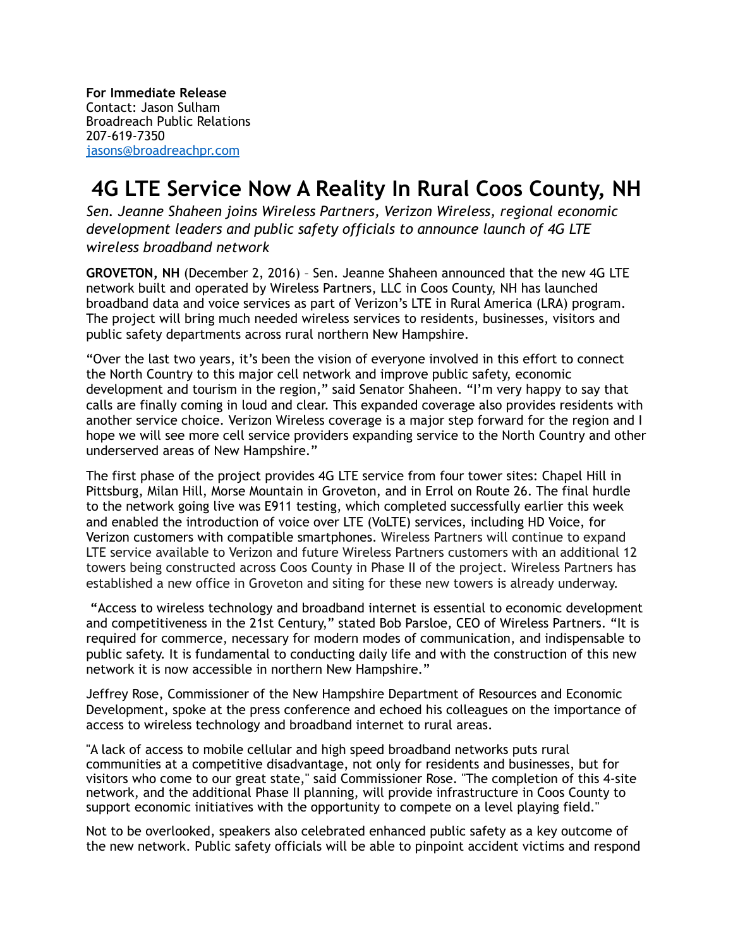**For Immediate Release** Contact: Jason Sulham Broadreach Public Relations 207-619-7350 [jasons@broadreachpr.com](mailto:jasons@broadreachpr.com)

## **4G LTE Service Now A Reality In Rural Coos County, NH**

*Sen. Jeanne Shaheen joins Wireless Partners, Verizon Wireless, regional economic development leaders and public safety officials to announce launch of 4G LTE wireless broadband network*

**GROVETON, NH** (December 2, 2016) – Sen. Jeanne Shaheen announced that the new 4G LTE network built and operated by Wireless Partners, LLC in Coos County, NH has launched broadband data and voice services as part of Verizon's LTE in Rural America (LRA) program. The project will bring much needed wireless services to residents, businesses, visitors and public safety departments across rural northern New Hampshire.

"Over the last two years, it's been the vision of everyone involved in this effort to connect the North Country to this major cell network and improve public safety, economic development and tourism in the region," said Senator Shaheen. "I'm very happy to say that calls are finally coming in loud and clear. This expanded coverage also provides residents with another service choice. Verizon Wireless coverage is a major step forward for the region and I hope we will see more cell service providers expanding service to the North Country and other underserved areas of New Hampshire."

The first phase of the project provides 4G LTE service from four tower sites: Chapel Hill in Pittsburg, Milan Hill, Morse Mountain in Groveton, and in Errol on Route 26. The final hurdle to the network going live was E911 testing, which completed successfully earlier this week and enabled the introduction of voice over LTE (VoLTE) services, including HD Voice, for Verizon customers with compatible smartphones. Wireless Partners will continue to expand LTE service available to Verizon and future Wireless Partners customers with an additional 12 towers being constructed across Coos County in Phase II of the project. Wireless Partners has established a new office in Groveton and siting for these new towers is already underway.

 **"**Access to wireless technology and broadband internet is essential to economic development and competitiveness in the 21st Century," stated Bob Parsloe, CEO of Wireless Partners. "It is required for commerce, necessary for modern modes of communication, and indispensable to public safety. It is fundamental to conducting daily life and with the construction of this new network it is now accessible in northern New Hampshire."

Jeffrey Rose, Commissioner of the New Hampshire Department of Resources and Economic Development, spoke at the press conference and echoed his colleagues on the importance of access to wireless technology and broadband internet to rural areas.

"A lack of access to mobile cellular and high speed broadband networks puts rural communities at a competitive disadvantage, not only for residents and businesses, but for visitors who come to our great state," said Commissioner Rose. "The completion of this 4-site network, and the additional Phase II planning, will provide infrastructure in Coos County to support economic initiatives with the opportunity to compete on a level playing field."

Not to be overlooked, speakers also celebrated enhanced public safety as a key outcome of the new network. Public safety officials will be able to pinpoint accident victims and respond